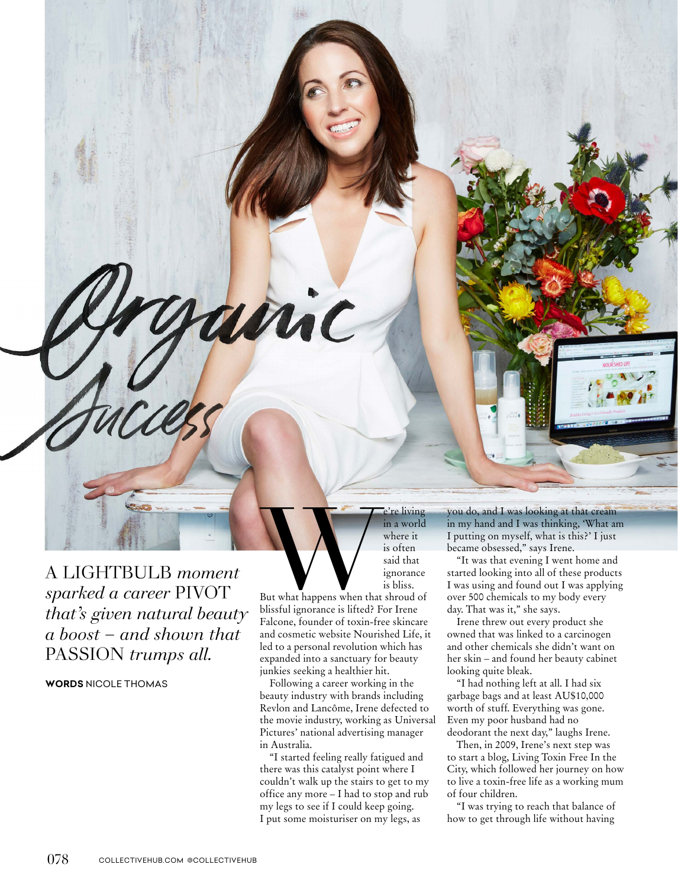A LIGHTBULB *moment sparked a career* PIVOT *that's given natural beauty a boost – and shown that*  PASSION *trumps all.*

**WORDS** NICOLE THOMAS

e're living<br>
in a world<br>
where it<br>
is often<br>
said that<br>
ignorance<br>
is bliss.<br>
But what happens when that shroud of<br>
blissful ignorance is lifted? For Irene where it is often said that ignorance is bliss.

in a world

But what happens when that shroud of blissful ignorance is lifted? For Irene Falcone, founder of toxin-free skincare and cosmetic website Nourished Life, it led to a personal revolution which has expanded into a sanctuary for beauty junkies seeking a healthier hit.

amic

Following a career working in the beauty industry with brands including Revlon and Lancôme, Irene defected to the movie industry, working as Universal Pictures' national advertising manager in Australia.

"I started feeling really fatigued and there was this catalyst point where I couldn't walk up the stairs to get to my office any more – I had to stop and rub my legs to see if I could keep going. I put some moisturiser on my legs, as

you do, and I was looking at that cream in my hand and I was thinking, 'What am I putting on myself, what is this?' I just became obsessed," says Irene.

"It was that evening I went home and started looking into all of these products I was using and found out I was applying over 500 chemicals to my body every day. That was it," she says.

Irene threw out every product she owned that was linked to a carcinogen and other chemicals she didn't want on her skin – and found her beauty cabinet looking quite bleak.

"I had nothing left at all. I had six garbage bags and at least AU\$10,000 worth of stuff. Everything was gone. Even my poor husband had no deodorant the next day," laughs Irene.

Then, in 2009, Irene's next step was to start a blog, Living Toxin Free In the City, which followed her journey on how to live a toxin-free life as a working mum of four children.

"I was trying to reach that balance of how to get through life without having